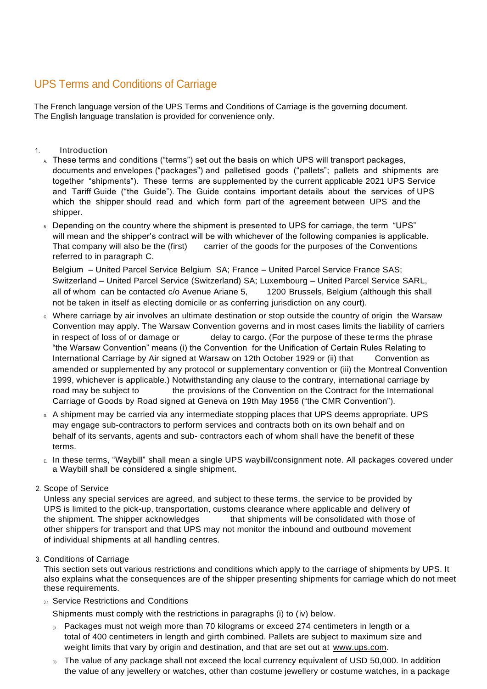# UPS Terms and Conditions of Carriage

The French language version of the UPS Terms and Conditions of Carriage is the governing document. The English language translation is provided for convenience only.

# 1. Introduction

- $\Lambda$  These terms and conditions ("terms") set out the basis on which UPS will transport packages, documents and envelopes ("packages") and palletised goods ("pallets"; pallets and shipments are together "shipments"). These terms are supplemented by the current applicable 2021 UPS Service and Tariff Guide ("the Guide"). The Guide contains important details about the services of UPS which the shipper should read and which form part of the agreement between UPS and the shipper.
- B. Depending on the country where the shipment is presented to UPS for carriage, the term "UPS" will mean and the shipper's contract will be with whichever of the following companies is applicable. That company will also be the (first) carrier of the goods for the purposes of the Conventions referred to in paragraph C.

Belgium – United Parcel Service Belgium SA; France – United Parcel Service France SAS; Switzerland – United Parcel Service (Switzerland) SA; Luxembourg – United Parcel Service SARL, all of whom can be contacted c/o Avenue Ariane 5, 1200 Brussels, Belgium (although this shall not be taken in itself as electing domicile or as conferring jurisdiction on any court).

- c. Where carriage by air involves an ultimate destination or stop outside the country of origin the Warsaw Convention may apply. The Warsaw Convention governs and in most cases limits the liability of carriers in respect of loss of or damage or delay to cargo. (For the purpose of these terms the phrase "the Warsaw Convention" means (i) the Convention for the Unification of Certain Rules Relating to International Carriage by Air signed at Warsaw on 12th October 1929 or (ii) that Convention as amended or supplemented by any protocol or supplementary convention or (iii) the Montreal Convention 1999, whichever is applicable.) Notwithstanding any clause to the contrary, international carriage by road may be subject to the provisions of the Convention on the Contract for the International Carriage of Goods by Road signed at Geneva on 19th May 1956 ("the CMR Convention").
- D. A shipment may be carried via any intermediate stopping places that UPS deems appropriate. UPS may engage sub-contractors to perform services and contracts both on its own behalf and on behalf of its servants, agents and sub- contractors each of whom shall have the benefit of these terms.
- E. In these terms, "Waybill" shall mean a single UPS waybill/consignment note. All packages covered under a Waybill shall be considered a single shipment.

# 2. Scope of Service

Unless any special services are agreed, and subject to these terms, the service to be provided by UPS is limited to the pick-up, transportation, customs clearance where applicable and delivery of the shipment. The shipper acknowledges that shipments will be consolidated with those of other shippers for transport and that UPS may not monitor the inbound and outbound movement of individual shipments at all handling centres.

# 3. Conditions of Carriage

This section sets out various restrictions and conditions which apply to the carriage of shipments by UPS. It also explains what the consequences are of the shipper presenting shipments for carriage which do not meet these requirements.

# 3.1 Service Restrictions and Conditions

Shipments must comply with the restrictions in paragraphs (i) to (iv) below.

- $<sub>0</sub>$  Packages must not weigh more than 70 kilograms or exceed 274 centimeters in length or a</sub> total of 400 centimeters in length and girth combined. Pallets are subject to maximum size and weight limits that vary by origin and destination, and that are set out at [www.ups.com.](http://www.ups.com/)
- $_{\scriptscriptstyle{(ii)}}$  The value of any package shall not exceed the local currency equivalent of USD 50,000. In addition the value of any jewellery or watches, other than costume jewellery or costume watches, in a package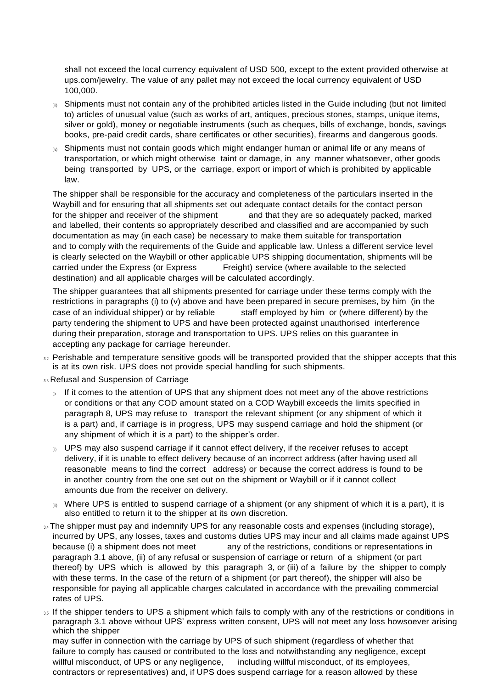shall not exceed the local currency equivalent of USD 500, except to the extent provided otherwise at ups.com/jewelry. The value of any pallet may not exceed the local currency equivalent of USD 100,000.

- (iii) Shipments must not contain any of the prohibited articles listed in the Guide including (but not limited to) articles of unusual value (such as works of art, antiques, precious stones, stamps, unique items, silver or gold), money or negotiable instruments (such as cheques, bills of exchange, bonds, savings books, pre-paid credit cards, share certificates or other securities), firearms and dangerous goods.
- $<sub>W</sub>$  Shipments must not contain goods which might endanger human or animal life or any means of</sub> transportation, or which might otherwise taint or damage, in any manner whatsoever, other goods being transported by UPS, or the carriage, export or import of which is prohibited by applicable law.

The shipper shall be responsible for the accuracy and completeness of the particulars inserted in the Waybill and for ensuring that all shipments set out adequate contact details for the contact person for the shipper and receiver of the shipment and that they are so adequately packed, marked and labelled, their contents so appropriately described and classified and are accompanied by such documentation as may (in each case) be necessary to make them suitable for transportation and to comply with the requirements of the Guide and applicable law. Unless a different service level is clearly selected on the Waybill or other applicable UPS shipping documentation, shipments will be carried under the Express (or Express Freight) service (where available to the selected destination) and all applicable charges will be calculated accordingly.

The shipper guarantees that all shipments presented for carriage under these terms comply with the restrictions in paragraphs (i) to (v) above and have been prepared in secure premises, by him (in the case of an individual shipper) or by reliable staff employed by him or (where different) by the party tendering the shipment to UPS and have been protected against unauthorised interference during their preparation, storage and transportation to UPS. UPS relies on this guarantee in accepting any package for carriage hereunder.

- 3.2 Perishable and temperature sensitive goods will be transported provided that the shipper accepts that this is at its own risk. UPS does not provide special handling for such shipments.
- 3.3 Refusal and Suspension of Carriage
	- $_{\odot}$  If it comes to the attention of UPS that any shipment does not meet any of the above restrictions or conditions or that any COD amount stated on a COD Waybill exceeds the limits specified in paragraph 8, UPS may refuse to transport the relevant shipment (or any shipment of which it is a part) and, if carriage is in progress, UPS may suspend carriage and hold the shipment (or any shipment of which it is a part) to the shipper's order.
	- $\mathfrak{g}$  UPS may also suspend carriage if it cannot effect delivery, if the receiver refuses to accept delivery, if it is unable to effect delivery because of an incorrect address (after having used all reasonable means to find the correct address) or because the correct address is found to be in another country from the one set out on the shipment or Waybill or if it cannot collect amounts due from the receiver on delivery.
	- (iii) Where UPS is entitled to suspend carriage of a shipment (or any shipment of which it is a part), it is also entitled to return it to the shipper at its own discretion.
- $34$  The shipper must pay and indemnify UPS for any reasonable costs and expenses (including storage), incurred by UPS, any losses, taxes and customs duties UPS may incur and all claims made against UPS because (i) a shipment does not meet any of the restrictions, conditions or representations in paragraph 3.1 above, (ii) of any refusal or suspension of carriage or return of a shipment (or part thereof) by UPS which is allowed by this paragraph 3, or (iii) of a failure by the shipper to comply with these terms. In the case of the return of a shipment (or part thereof), the shipper will also be responsible for paying all applicable charges calculated in accordance with the prevailing commercial rates of UPS.
- 3.5 If the shipper tenders to UPS a shipment which fails to comply with any of the restrictions or conditions in paragraph 3.1 above without UPS' express written consent, UPS will not meet any loss howsoever arising which the shipper

may suffer in connection with the carriage by UPS of such shipment (regardless of whether that failure to comply has caused or contributed to the loss and notwithstanding any negligence, except willful misconduct, of UPS or any negligence, including willful misconduct, of its employees, contractors or representatives) and, if UPS does suspend carriage for a reason allowed by these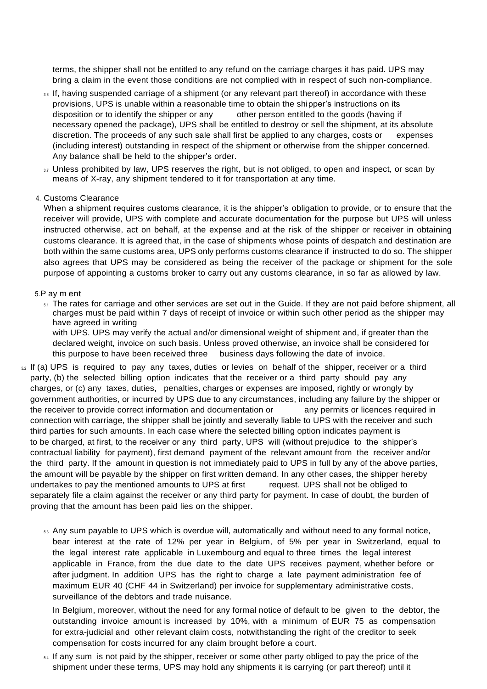terms, the shipper shall not be entitled to any refund on the carriage charges it has paid. UPS may bring a claim in the event those conditions are not complied with in respect of such non-compliance.

- 16 If, having suspended carriage of a shipment (or any relevant part thereof) in accordance with these provisions, UPS is unable within a reasonable time to obtain the shipper's instructions on its disposition or to identify the shipper or any other person entitled to the goods (having if necessary opened the package), UPS shall be entitled to destroy or sell the shipment, at its absolute discretion. The proceeds of any such sale shall first be applied to any charges, costs or expenses (including interest) outstanding in respect of the shipment or otherwise from the shipper concerned. Any balance shall be held to the shipper's order.
- 3.7 Unless prohibited by law, UPS reserves the right, but is not obliged, to open and inspect, or scan by means of X-ray, any shipment tendered to it for transportation at any time.
- 4. Customs Clearance

When a shipment requires customs clearance, it is the shipper's obligation to provide, or to ensure that the receiver will provide, UPS with complete and accurate documentation for the purpose but UPS will unless instructed otherwise, act on behalf, at the expense and at the risk of the shipper or receiver in obtaining customs clearance. It is agreed that, in the case of shipments whose points of despatch and destination are both within the same customs area, UPS only performs customs clearance if instructed to do so. The shipper also agrees that UPS may be considered as being the receiver of the package or shipment for the sole purpose of appointing a customs broker to carry out any customs clearance, in so far as allowed by law.

#### 5.P ay m ent

 $5.1$  The rates for carriage and other services are set out in the Guide. If they are not paid before shipment, all charges must be paid within 7 days of receipt of invoice or within such other period as the shipper may have agreed in writing

with UPS. UPS may verify the actual and/or dimensional weight of shipment and, if greater than the declared weight, invoice on such basis. Unless proved otherwise, an invoice shall be considered for this purpose to have been received three business days following the date of invoice.

- $5.2$  If (a) UPS is required to pay any taxes, duties or levies on behalf of the shipper, receiver or a third party, (b) the selected billing option indicates that the receiver or a third party should pay any charges, or (c) any taxes, duties, penalties, charges or expenses are imposed, rightly or wrongly by government authorities, or incurred by UPS due to any circumstances, including any failure by the shipper or the receiver to provide correct information and documentation or any permits or licences required in connection with carriage, the shipper shall be jointly and severally liable to UPS with the receiver and such third parties for such amounts. In each case where the selected billing option indicates payment is to be charged, at first, to the receiver or any third party, UPS will (without prejudice to the shipper's contractual liability for payment), first demand payment of the relevant amount from the receiver and/or the third party. If the amount in question is not immediately paid to UPS in full by any of the above parties, the amount will be payable by the shipper on first written demand. In any other cases, the shipper hereby undertakes to pay the mentioned amounts to UPS at first request. UPS shall not be obliged to separately file a claim against the receiver or any third party for payment. In case of doubt, the burden of proving that the amount has been paid lies on the shipper.
	- 5.3 Any sum payable to UPS which is overdue will, automatically and without need to any formal notice, bear interest at the rate of 12% per year in Belgium, of 5% per year in Switzerland, equal to the legal interest rate applicable in Luxembourg and equal to three times the legal interest applicable in France, from the due date to the date UPS receives payment, whether before or after judgment. In addition UPS has the right to charge a late payment administration fee of maximum EUR 40 (CHF 44 in Switzerland) per invoice for supplementary administrative costs, surveillance of the debtors and trade nuisance.

In Belgium, moreover, without the need for any formal notice of default to be given to the debtor, the outstanding invoice amount is increased by 10%, with a minimum of EUR 75 as compensation for extra-judicial and other relevant claim costs, notwithstanding the right of the creditor to seek compensation for costs incurred for any claim brought before a court.

 $5.4$  If any sum is not paid by the shipper, receiver or some other party obliged to pay the price of the shipment under these terms, UPS may hold any shipments it is carrying (or part thereof) until it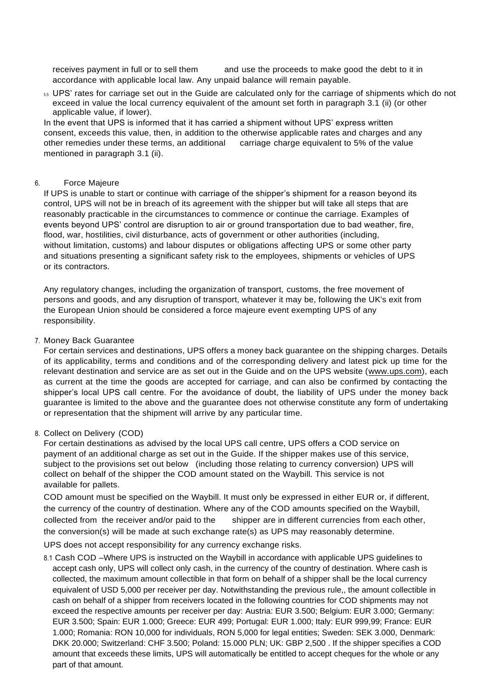receives payment in full or to sell them and use the proceeds to make good the debt to it in accordance with applicable local law. Any unpaid balance will remain payable.

5.5 UPS' rates for carriage set out in the Guide are calculated only for the carriage of shipments which do not exceed in value the local currency equivalent of the amount set forth in paragraph 3.1 (ii) (or other applicable value, if lower).

In the event that UPS is informed that it has carried a shipment without UPS' express written consent, exceeds this value, then, in addition to the otherwise applicable rates and charges and any other remedies under these terms, an additional carriage charge equivalent to 5% of the value mentioned in paragraph 3.1 (ii).

#### 6. Force Majeure

If UPS is unable to start or continue with carriage of the shipper's shipment for a reason beyond its control, UPS will not be in breach of its agreement with the shipper but will take all steps that are reasonably practicable in the circumstances to commence or continue the carriage. Examples of events beyond UPS' control are disruption to air or ground transportation due to bad weather, fire, flood, war, hostilities, civil disturbance, acts of government or other authorities (including, without limitation, customs) and labour disputes or obligations affecting UPS or some other party and situations presenting a significant safety risk to the employees, shipments or vehicles of UPS or its contractors.

Any regulatory changes, including the organization of transport, customs, the free movement of persons and goods, and any disruption of transport, whatever it may be, following the UK's exit from the European Union should be considered a force majeure event exempting UPS of any responsibility.

7. Money Back Guarantee

For certain services and destinations, UPS offers a money back guarantee on the shipping charges. Details of its applicability, terms and conditions and of the corresponding delivery and latest pick up time for the relevant destination and service are as set out in the Guide and on the UPS website (www.ups.com), each as current at the time the goods are accepted for carriage, and can also be confirmed by contacting the shipper's local UPS call centre. For the avoidance of doubt, the liability of UPS under the money back guarantee is limited to the above and the guarantee does not otherwise constitute any form of undertaking or representation that the shipment will arrive by any particular time.

#### 8. Collect on Delivery (COD)

For certain destinations as advised by the local UPS call centre, UPS offers a COD service on payment of an additional charge as set out in the Guide. If the shipper makes use of this service, subject to the provisions set out below (including those relating to currency conversion) UPS will collect on behalf of the shipper the COD amount stated on the Waybill. This service is not available for pallets.

COD amount must be specified on the Waybill. It must only be expressed in either EUR or, if different, the currency of the country of destination. Where any of the COD amounts specified on the Waybill, collected from the receiver and/or paid to the shipper are in different currencies from each other, the conversion(s) will be made at such exchange rate(s) as UPS may reasonably determine.

UPS does not accept responsibility for any currency exchange risks.

8.1 Cash COD –Where UPS is instructed on the Waybill in accordance with applicable UPS guidelines to accept cash only, UPS will collect only cash, in the currency of the country of destination. Where cash is collected, the maximum amount collectible in that form on behalf of a shipper shall be the local currency equivalent of USD 5,000 per receiver per day. Notwithstanding the previous rule,, the amount collectible in cash on behalf of a shipper from receivers located in the following countries for COD shipments may not exceed the respective amounts per receiver per day: Austria: EUR 3.500; Belgium: EUR 3.000; Germany: EUR 3.500; Spain: EUR 1.000; Greece: EUR 499; Portugal: EUR 1.000; Italy: EUR 999,99; France: EUR 1.000; Romania: RON 10,000 for individuals, RON 5,000 for legal entities; Sweden: SEK 3.000, Denmark: DKK 20.000; Switzerland: CHF 3.500; Poland: 15.000 PLN; UK: GBP 2,500 . If the shipper specifies a COD amount that exceeds these limits, UPS will automatically be entitled to accept cheques for the whole or any part of that amount.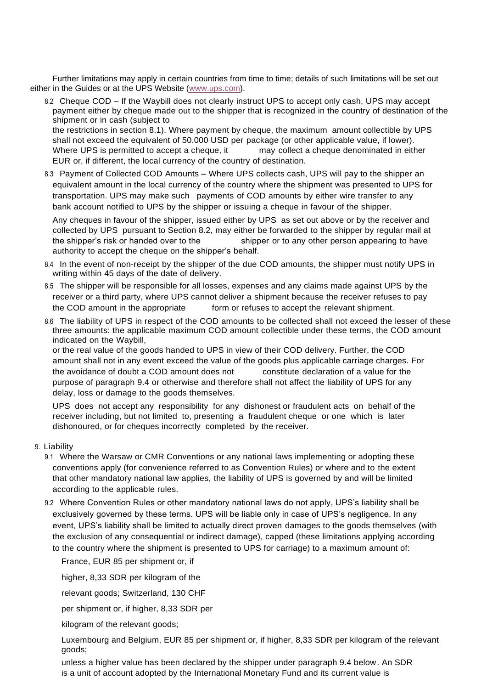Further limitations may apply in certain countries from time to time; details of such limitations will be set out either in the Guides or at the UPS Website [\(www.ups.com\)](http://www.ups.com/).

8.2 Cheque COD – If the Waybill does not clearly instruct UPS to accept only cash, UPS may accept payment either by cheque made out to the shipper that is recognized in the country of destination of the shipment or in cash (subject to

the restrictions in section 8.1). Where payment by cheque, the maximum amount collectible by UPS shall not exceed the equivalent of 50.000 USD per package (or other applicable value, if lower). Where UPS is permitted to accept a cheque, it may collect a cheque denominated in either EUR or, if different, the local currency of the country of destination.

8.3 Payment of Collected COD Amounts – Where UPS collects cash, UPS will pay to the shipper an equivalent amount in the local currency of the country where the shipment was presented to UPS for transportation. UPS may make such payments of COD amounts by either wire transfer to any bank account notified to UPS by the shipper or issuing a cheque in favour of the shipper.

Any cheques in favour of the shipper, issued either by UPS as set out above or by the receiver and collected by UPS pursuant to Section 8.2, may either be forwarded to the shipper by regular mail at the shipper's risk or handed over to the shipper or to any other person appearing to have authority to accept the cheque on the shipper's behalf.

- 8.4 In the event of non-receipt by the shipper of the due COD amounts, the shipper must notify UPS in writing within 45 days of the date of delivery.
- 8.5 The shipper will be responsible for all losses, expenses and any claims made against UPS by the receiver or a third party, where UPS cannot deliver a shipment because the receiver refuses to pay the COD amount in the appropriate form or refuses to accept the relevant shipment.
- 8.6 The liability of UPS in respect of the COD amounts to be collected shall not exceed the lesser of these three amounts: the applicable maximum COD amount collectible under these terms, the COD amount indicated on the Waybill,

or the real value of the goods handed to UPS in view of their COD delivery. Further, the COD amount shall not in any event exceed the value of the goods plus applicable carriage charges. For the avoidance of doubt a COD amount does not constitute declaration of a value for the purpose of paragraph 9.4 or otherwise and therefore shall not affect the liability of UPS for any delay, loss or damage to the goods themselves.

UPS does not accept any responsibility for any dishonest or fraudulent acts on behalf of the receiver including, but not limited to, presenting a fraudulent cheque or one which is later dishonoured, or for cheques incorrectly completed by the receiver.

- 9. Liability
	- 9.1 Where the Warsaw or CMR Conventions or any national laws implementing or adopting these conventions apply (for convenience referred to as Convention Rules) or where and to the extent that other mandatory national law applies, the liability of UPS is governed by and will be limited according to the applicable rules.
	- 9.2 Where Convention Rules or other mandatory national laws do not apply, UPS's liability shall be exclusively governed by these terms. UPS will be liable only in case of UPS's negligence. In any event, UPS's liability shall be limited to actually direct proven damages to the goods themselves (with the exclusion of any consequential or indirect damage), capped (these limitations applying according to the country where the shipment is presented to UPS for carriage) to a maximum amount of:

France, EUR 85 per shipment or, if

higher, 8,33 SDR per kilogram of the

relevant goods; Switzerland, 130 CHF

per shipment or, if higher, 8,33 SDR per

kilogram of the relevant goods;

Luxembourg and Belgium, EUR 85 per shipment or, if higher, 8,33 SDR per kilogram of the relevant goods;

unless a higher value has been declared by the shipper under paragraph 9.4 below. An SDR is a unit of account adopted by the International Monetary Fund and its current value is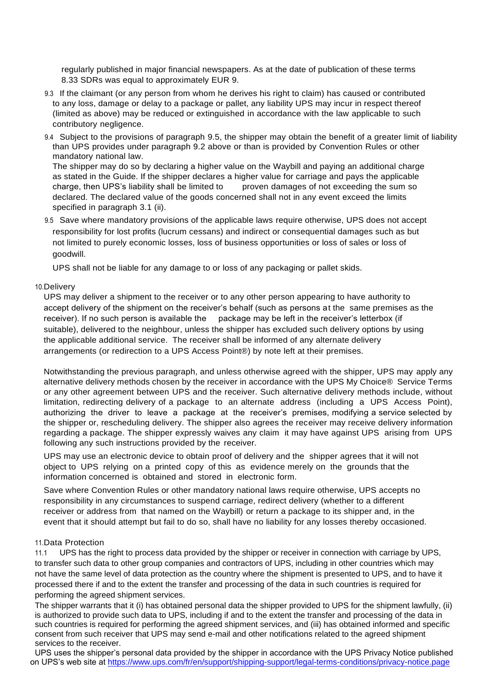regularly published in major financial newspapers. As at the date of publication of these terms 8.33 SDRs was equal to approximately EUR 9.

- 9.3 If the claimant (or any person from whom he derives his right to claim) has caused or contributed to any loss, damage or delay to a package or pallet, any liability UPS may incur in respect thereof (limited as above) may be reduced or extinguished in accordance with the law applicable to such contributory negligence.
- 9.4 Subject to the provisions of paragraph 9.5, the shipper may obtain the benefit of a greater limit of liability than UPS provides under paragraph 9.2 above or than is provided by Convention Rules or other mandatory national law.

The shipper may do so by declaring a higher value on the Waybill and paying an additional charge as stated in the Guide. If the shipper declares a higher value for carriage and pays the applicable charge, then UPS's liability shall be limited to proven damages of not exceeding the sum so declared. The declared value of the goods concerned shall not in any event exceed the limits specified in paragraph 3.1 (ii).

9.5 Save where mandatory provisions of the applicable laws require otherwise, UPS does not accept responsibility for lost profits (lucrum cessans) and indirect or consequential damages such as but not limited to purely economic losses, loss of business opportunities or loss of sales or loss of goodwill.

UPS shall not be liable for any damage to or loss of any packaging or pallet skids.

#### 10.Delivery

UPS may deliver a shipment to the receiver or to any other person appearing to have authority to accept delivery of the shipment on the receiver's behalf (such as persons at the same premises as the receiver). If no such person is available the package may be left in the receiver's letterbox (if suitable), delivered to the neighbour, unless the shipper has excluded such delivery options by using the applicable additional service. The receiver shall be informed of any alternate delivery arrangements (or redirection to a UPS Access Point®) by note left at their premises.

Notwithstanding the previous paragraph, and unless otherwise agreed with the shipper, UPS may apply any alternative delivery methods chosen by the receiver in accordance with the UPS My Choice® Service Terms or any other agreement between UPS and the receiver. Such alternative delivery methods include, without limitation, redirecting delivery of a package to an alternate address (including a UPS Access Point), authorizing the driver to leave a package at the receiver's premises, modifying a service selected by the shipper or, rescheduling delivery. The shipper also agrees the receiver may receive delivery information regarding a package. The shipper expressly waives any claim it may have against UPS arising from UPS following any such instructions provided by the receiver.

UPS may use an electronic device to obtain proof of delivery and the shipper agrees that it will not object to UPS relying on a printed copy of this as evidence merely on the grounds that the information concerned is obtained and stored in electronic form.

Save where Convention Rules or other mandatory national laws require otherwise, UPS accepts no responsibility in any circumstances to suspend carriage, redirect delivery (whether to a different receiver or address from that named on the Waybill) or return a package to its shipper and, in the event that it should attempt but fail to do so, shall have no liability for any losses thereby occasioned.

## 11.Data Protection

11.1 UPS has the right to process data provided by the shipper or receiver in connection with carriage by UPS, to transfer such data to other group companies and contractors of UPS, including in other countries which may not have the same level of data protection as the country where the shipment is presented to UPS, and to have it processed there if and to the extent the transfer and processing of the data in such countries is required for performing the agreed shipment services.

The shipper warrants that it (i) has obtained personal data the shipper provided to UPS for the shipment lawfully, (ii) is authorized to provide such data to UPS, including if and to the extent the transfer and processing of the data in such countries is required for performing the agreed shipment services, and (iii) has obtained informed and specific consent from such receiver that UPS may send e-mail and other notifications related to the agreed shipment services to the receiver.

UPS uses the shipper's personal data provided by the shipper in accordance with the UPS Privacy Notice published on UPS's web site at <https://www.ups.com/fr/en/support/shipping-support/legal-terms-conditions/privacy-notice.page>